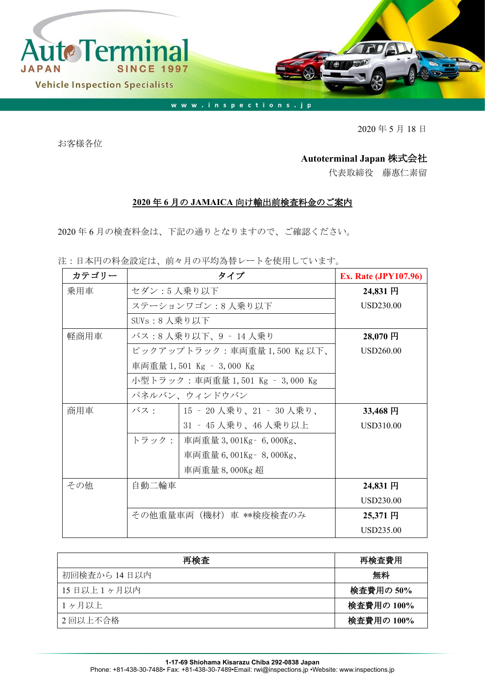

2020 年 5 月 18 日

お客様各位

## **Autoterminal Japan** 株式会社

代表取締役 藤惠仁素留

## **2020** 年 **6** 月の **JAMAICA** 向け輸出前検査料金のご案内

2020 年 6 月の検査料金は、下記の通りとなりますので、ご確認ください。

注:日本円の料金設定は、前々月の平均為替レートを使用しています。

| カテゴリー |                                 | <b>Ex. Rate (JPY107.96)</b>     |           |  |
|-------|---------------------------------|---------------------------------|-----------|--|
| 乗用車   | セダン:5人乗り以下                      | 24,831円                         |           |  |
|       | ステーションワゴン:8人乗り以下                | USD230.00                       |           |  |
|       | SUV $s: 8$ 人乗り以下                |                                 |           |  |
| 軽商用車  | バス:8 人乗り以下、9 ‐ 14 人乗り           | $28,070$ 円                      |           |  |
|       |                                 | ピックアップトラック:車両重量 1,500 Kg 以下、    | USD260.00 |  |
|       |                                 | 車両重量 1,501 Kg - 3,000 Kg        |           |  |
|       | 小型トラック:車両重量 1,501 Kg – 3,000 Kg |                                 |           |  |
|       | パネルバン、ウィンドウバン                   |                                 |           |  |
| 商用車   |                                 | バス:   15 - 20 人乗り、21 - 30 人乗り、  | 33,468円   |  |
|       |                                 | 31 ‐ 45 人乗り、46 人乗り以上            | USD310.00 |  |
|       |                                 | トラック:   車両重量 3,001Kg - 6,000Kg、 |           |  |
|       |                                 | 車両重量 6,001Kg - 8,000Kg、         |           |  |
|       |                                 | 車両重量 8,000Kg 超                  |           |  |
| その他   | 自動二輪車                           |                                 | 24,831 円  |  |
|       |                                 |                                 | USD230.00 |  |
|       | その他重量車両(機材)車 **検疫検査のみ           | 25,371円                         |           |  |
|       |                                 |                                 | USD235.00 |  |

| 再検査          | 再検査費用      |
|--------------|------------|
| 初回検査から 14日以内 | 無料         |
| 15日以上1ヶ月以内   | 検査費用の 50%  |
| 1ヶ月以上        | 検査費用の 100% |
| 2回以上不合格      | 検査費用の 100% |